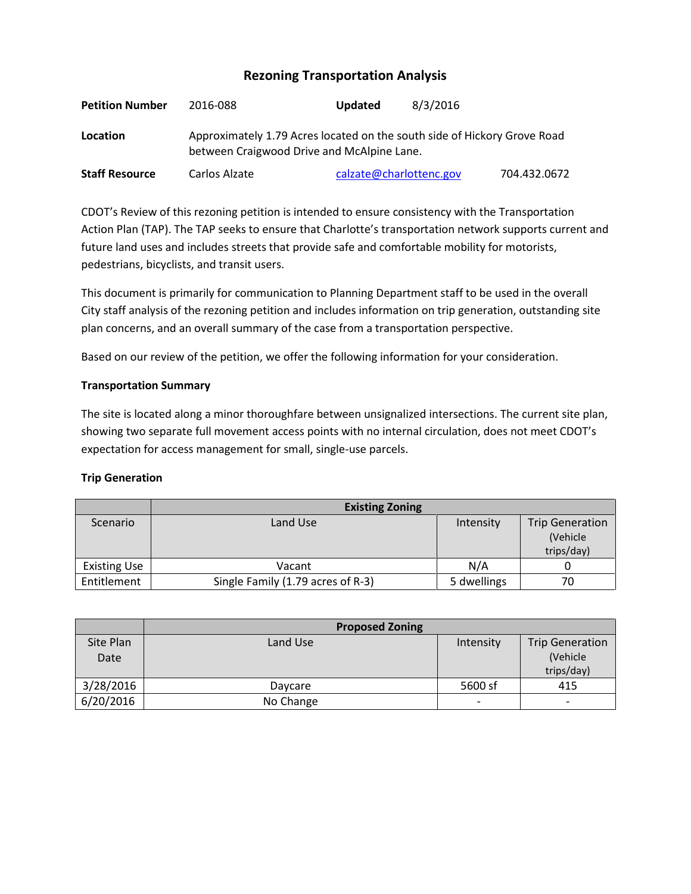# **Rezoning Transportation Analysis**

| <b>Petition Number</b> | 2016-088                                                                                                               | Updated                 | 8/3/2016 |              |  |  |
|------------------------|------------------------------------------------------------------------------------------------------------------------|-------------------------|----------|--------------|--|--|
| Location               | Approximately 1.79 Acres located on the south side of Hickory Grove Road<br>between Craigwood Drive and McAlpine Lane. |                         |          |              |  |  |
| <b>Staff Resource</b>  | Carlos Alzate                                                                                                          | calzate@charlottenc.gov |          | 704.432.0672 |  |  |

CDOT's Review of this rezoning petition is intended to ensure consistency with the Transportation Action Plan (TAP). The TAP seeks to ensure that Charlotte's transportation network supports current and future land uses and includes streets that provide safe and comfortable mobility for motorists, pedestrians, bicyclists, and transit users.

This document is primarily for communication to Planning Department staff to be used in the overall City staff analysis of the rezoning petition and includes information on trip generation, outstanding site plan concerns, and an overall summary of the case from a transportation perspective.

Based on our review of the petition, we offer the following information for your consideration.

# **Transportation Summary**

The site is located along a minor thoroughfare between unsignalized intersections. The current site plan, showing two separate full movement access points with no internal circulation, does not meet CDOT's expectation for access management for small, single-use parcels.

## **Trip Generation**

|                     | <b>Existing Zoning</b>            |             |                        |  |
|---------------------|-----------------------------------|-------------|------------------------|--|
| Scenario            | Land Use                          | Intensity   | <b>Trip Generation</b> |  |
|                     |                                   |             | (Vehicle               |  |
|                     |                                   |             | trips/day)             |  |
| <b>Existing Use</b> | Vacant                            | N/A         |                        |  |
| Entitlement         | Single Family (1.79 acres of R-3) | 5 dwellings | 70                     |  |

|                   | <b>Proposed Zoning</b> |                          |                                                   |
|-------------------|------------------------|--------------------------|---------------------------------------------------|
| Site Plan<br>Date | Land Use               | Intensity                | <b>Trip Generation</b><br>(Vehicle)<br>trips/day) |
| 3/28/2016         | Daycare                | 5600 sf                  | 415                                               |
| 6/20/2016         | No Change              | $\overline{\phantom{a}}$ | -                                                 |